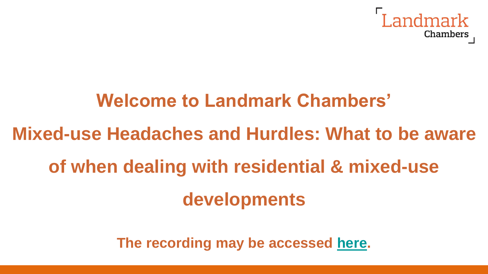

# **Welcome to Landmark Chambers'**

# **Mixed-use Headaches and Hurdles: What to be aware of when dealing with residential & mixed-use developments**

**The recording may be accessed [here](https://youtu.be/pnS0hT6p1KM).**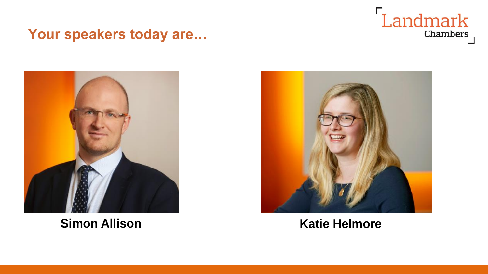

#### **Your speakers today are…**



**Simon Allison Katie Helmore** 

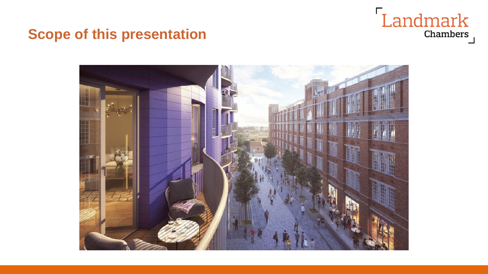## Landmark Chambers

#### **Scope of this presentation**

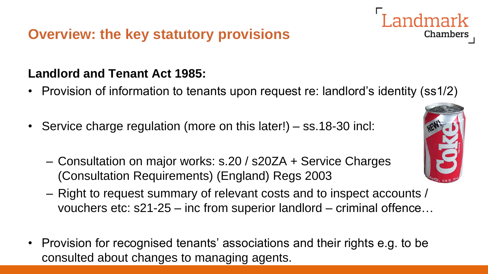#### **Landlord and Tenant Act 1985:**

- Provision of information to tenants upon request re: landlord's identity (ss1/2)
- Service charge regulation (more on this later!) ss.18-30 incl:
	- Consultation on major works: s.20 / s20ZA + Service Charges (Consultation Requirements) (England) Regs 2003
	- Right to request summary of relevant costs and to inspect accounts / vouchers etc: s21-25 – inc from superior landlord – criminal offence…
- Provision for recognised tenants' associations and their rights e.g. to be consulted about changes to managing agents.



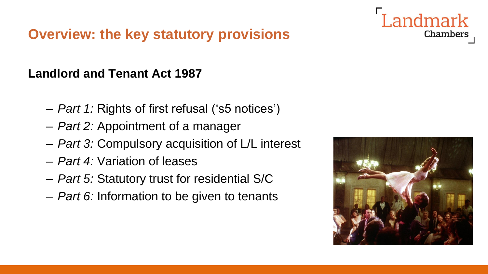#### **Landlord and Tenant Act 1987**

- *Part 1:* Rights of first refusal ('s5 notices')
- *Part 2:* Appointment of a manager
- *Part 3:* Compulsory acquisition of L/L interest
- *Part 4:* Variation of leases
- *Part 5:* Statutory trust for residential S/C
- *Part 6:* Information to be given to tenants



Landmark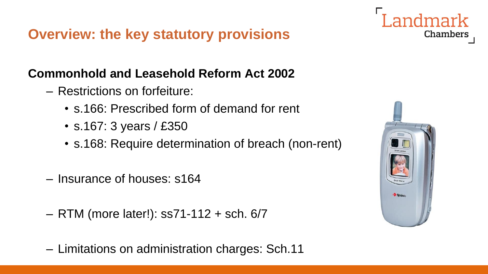#### **Commonhold and Leasehold Reform Act 2002**

- Restrictions on forfeiture:
	- s.166: Prescribed form of demand for rent
	- s.167: 3 years / £350
	- s.168: Require determination of breach (non-rent)
- Insurance of houses: s164
- RTM (more later!): ss71-112 + sch. 6/7
- Limitations on administration charges: Sch.11

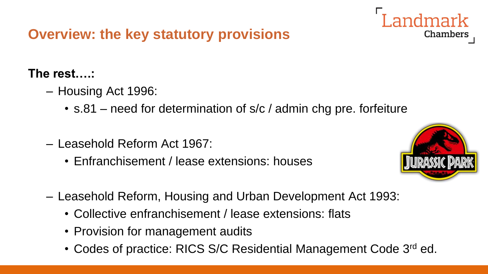#### **The rest….:**

- Housing Act 1996:
	- s.81 need for determination of s/c / admin chg pre. forfeiture
- Leasehold Reform Act 1967:
	- Enfranchisement / lease extensions: houses



- Leasehold Reform, Housing and Urban Development Act 1993:
	- Collective enfranchisement / lease extensions: flats
	- Provision for management audits
	- Codes of practice: RICS S/C Residential Management Code 3<sup>rd</sup> ed.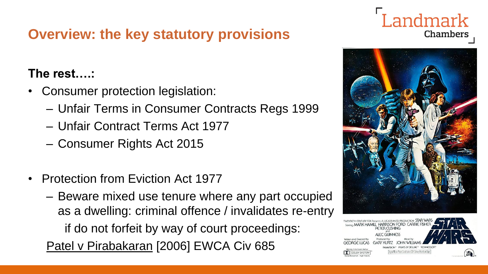#### **The rest….:**

- Consumer protection legislation:
	- Unfair Terms in Consumer Contracts Regs 1999
	- Unfair Contract Terms Act 1977
	- Consumer Rights Act 2015
- Protection from Eviction Act 1977
	- Beware mixed use tenure where any part occupied as a dwelling: criminal offence / invalidates re-entry if do not forfeit by way of court proceedings:

Patel v Pirabakaran [2006] EWCA Civ 685

### Landmark Chambers



NAMONE DRINTS BY DE ILIXE ral Minton Perture Soundtrack on 20th Century Records and Tanes

**DOLBY SYSTEM**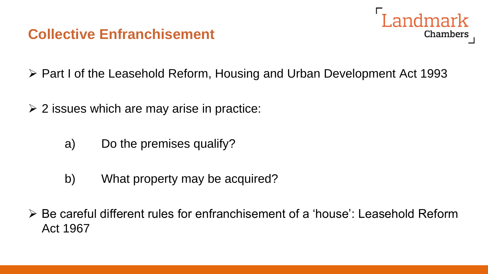#### **Collective Enfranchisement**



- ➢ Part I of the Leasehold Reform, Housing and Urban Development Act 1993
- $\geq$  2 issues which are may arise in practice:
	- a) Do the premises qualify?
	- b) What property may be acquired?
- ➢ Be careful different rules for enfranchisement of a 'house': Leasehold Reform Act 1967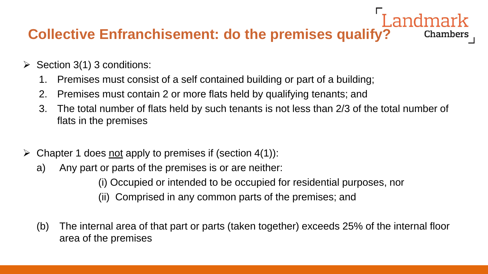#### **Collective Enfranchisement: do the premises qualify?** Chambers

- $\triangleright$  Section 3(1) 3 conditions:
	- 1. Premises must consist of a self contained building or part of a building;
	- 2. Premises must contain 2 or more flats held by qualifying tenants; and
	- 3. The total number of flats held by such tenants is not less than 2/3 of the total number of flats in the premises
- $\triangleright$  Chapter 1 does not apply to premises if (section 4(1)):
	- a) Any part or parts of the premises is or are neither:
		- (i) Occupied or intended to be occupied for residential purposes, nor
		- (ii) Comprised in any common parts of the premises; and
	- (b) The internal area of that part or parts (taken together) exceeds 25% of the internal floor area of the premises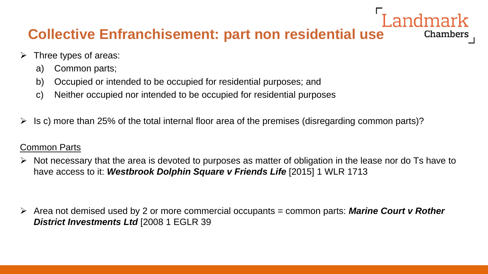#### **Collective Enfranchisement: part non residential use**

- $\triangleright$  Three types of areas:
	- a) Common parts;
	- b) Occupied or intended to be occupied for residential purposes; and
	- c) Neither occupied nor intended to be occupied for residential purposes
- $\triangleright$  Is c) more than 25% of the total internal floor area of the premises (disregarding common parts)?

#### Common Parts

 $\triangleright$  Not necessary that the area is devoted to purposes as matter of obligation in the lease nor do Ts have to have access to it: Westbrook Dolphin Square v Friends Life [2015] 1 WLR 1713

**Chambers** 

➢ Area not demised used by 2 or more commercial occupants = common parts: *Marine Court v Rother District Investments Ltd* [2008 1 EGLR 39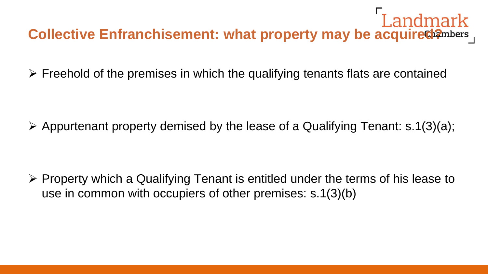#### Landmark **Collective Enfranchisement: what property may be acquired?** mbers

➢ Freehold of the premises in which the qualifying tenants flats are contained

 $\triangleright$  Appurtenant property demised by the lease of a Qualifying Tenant: s.1(3)(a);

➢ Property which a Qualifying Tenant is entitled under the terms of his lease to use in common with occupiers of other premises: s.1(3)(b)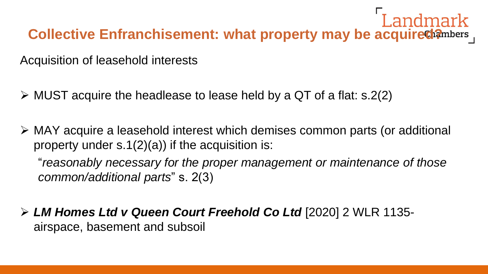#### Landmark Collective Enfranchisement: what property may be acquired?mbers

Acquisition of leasehold interests

- $\triangleright$  MUST acquire the headlease to lease held by a QT of a flat: s.2(2)
- ➢ MAY acquire a leasehold interest which demises common parts (or additional property under s.1(2)(a)) if the acquisition is:

"*reasonably necessary for the proper management or maintenance of those common/additional parts*" s. 2(3)

➢ *LM Homes Ltd v Queen Court Freehold Co Ltd* [2020] 2 WLR 1135 airspace, basement and subsoil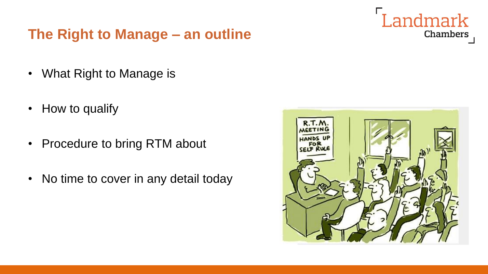#### **The Right to Manage – an outline**

Landmark Chambers

- What Right to Manage is
- How to qualify
- Procedure to bring RTM about
- No time to cover in any detail today

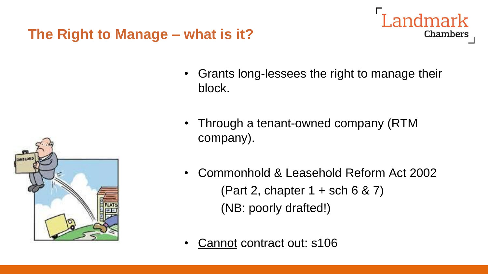#### **The Right to Manage – what is it?**

• Grants long-lessees the right to manage their block.

Landmark

- Through a tenant-owned company (RTM company).
- Commonhold & Leasehold Reform Act 2002 (Part 2, chapter  $1 +$  sch 6 & 7) (NB: poorly drafted!)
- Cannot contract out: s106

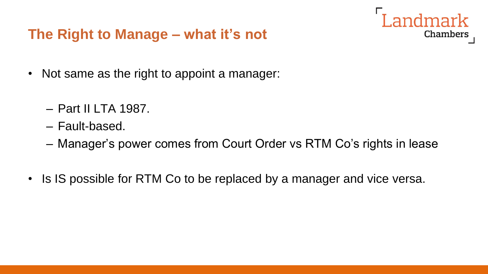#### **The Right to Manage – what it's not**

Landmark Chambers

- Not same as the right to appoint a manager:
	- Part II LTA 1987.
	- Fault-based.
	- Manager's power comes from Court Order vs RTM Co's rights in lease
- Is IS possible for RTM Co to be replaced by a manager and vice versa.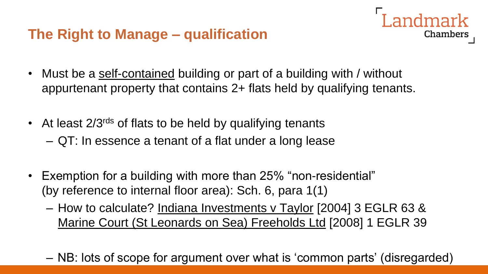- Landmark **Chambers**
- Must be a self-contained building or part of a building with / without appurtenant property that contains 2+ flats held by qualifying tenants.
- At least 2/3<sup>rds</sup> of flats to be held by qualifying tenants
	- QT: In essence a tenant of a flat under a long lease
- Exemption for a building with more than 25% "non-residential" (by reference to internal floor area): Sch. 6, para 1(1)
	- How to calculate? Indiana Investments v Taylor [2004] 3 EGLR 63 & Marine Court (St Leonards on Sea) Freeholds Ltd [2008] 1 EGLR 39
	- NB: lots of scope for argument over what is 'common parts' (disregarded)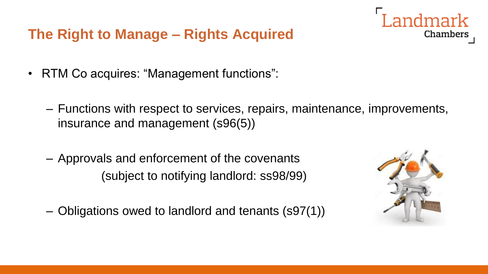#### **The Right to Manage – Rights Acquired**

- RTM Co acquires: "Management functions":
	- Functions with respect to services, repairs, maintenance, improvements, insurance and management (s96(5))
	- Approvals and enforcement of the covenants (subject to notifying landlord: ss98/99)
	- Obligations owed to landlord and tenants (s97(1))

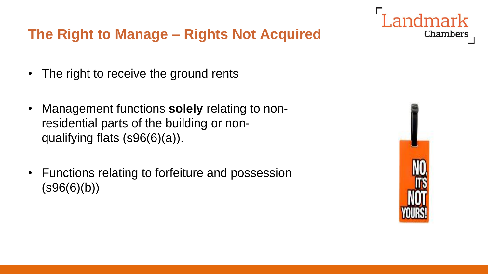#### **The Right to Manage – Rights Not Acquired**

- The right to receive the ground rents
- Management functions **solely** relating to nonresidential parts of the building or nonqualifying flats (s96(6)(a)).
- Functions relating to forfeiture and possession  $(S96(6)(b))$

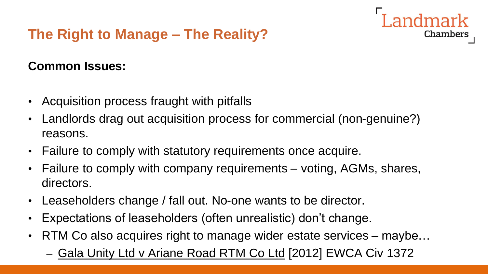#### **The Right to Manage – The Reality?**

#### **Common Issues:**

- Acquisition process fraught with pitfalls
- Landlords drag out acquisition process for commercial (non-genuine?) reasons.

- Failure to comply with statutory requirements once acquire.
- Failure to comply with company requirements voting, AGMs, shares, directors.
- Leaseholders change / fall out. No-one wants to be director.
- Expectations of leaseholders (often unrealistic) don't change.
- RTM Co also acquires right to manage wider estate services maybe...
	- Gala Unity Ltd v Ariane Road RTM Co Ltd [2012] EWCA Civ 1372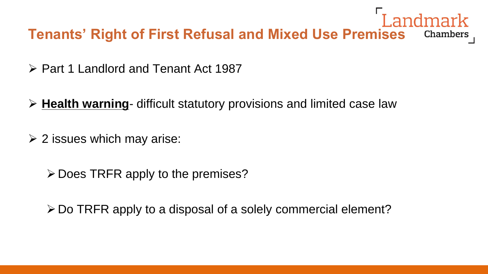### Landmark **Tenants' Right of First Refusal and Mixed Use Premises**

- ➢ Part 1 Landlord and Tenant Act 1987
- ➢ **Health warning** difficult statutory provisions and limited case law
- $\geq$  2 issues which may arise:
	- $\triangleright$  Does TRFR apply to the premises?

➢Do TRFR apply to a disposal of a solely commercial element?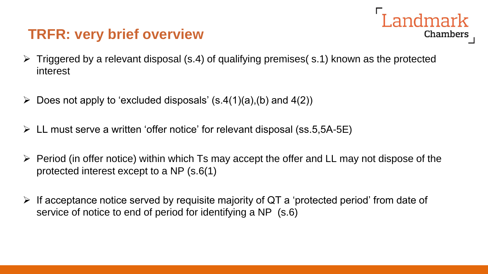#### **TRFR: very brief overview**



- $\triangleright$  Triggered by a relevant disposal (s.4) of qualifying premises( s.1) known as the protected interest
- $\triangleright$  Does not apply to 'excluded disposals' (s.4(1)(a),(b) and 4(2))
- ➢ LL must serve a written 'offer notice' for relevant disposal (ss.5,5A-5E)
- $\triangleright$  Period (in offer notice) within which Ts may accept the offer and LL may not dispose of the protected interest except to a NP (s.6(1)
- ➢ If acceptance notice served by requisite majority of QT a 'protected period' from date of service of notice to end of period for identifying a NP (s.6)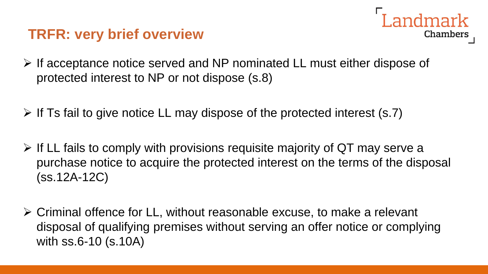#### **TRFR: very brief overview**

- andmark **Chambers**
- ➢ If acceptance notice served and NP nominated LL must either dispose of protected interest to NP or not dispose (s.8)
- $\triangleright$  If Ts fail to give notice LL may dispose of the protected interest (s.7)
- ➢ If LL fails to comply with provisions requisite majority of QT may serve a purchase notice to acquire the protected interest on the terms of the disposal (ss.12A-12C)
- ➢ Criminal offence for LL, without reasonable excuse, to make a relevant disposal of qualifying premises without serving an offer notice or complying with ss.6-10 (s.10A)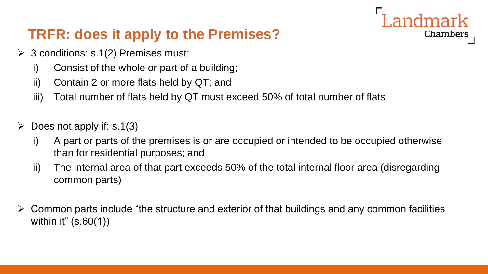#### **TRFR: does it apply to the Premises?**

- $\geq$  3 conditions: s.1(2) Premises must:
	- i) Consist of the whole or part of a building;
	- ii) Contain 2 or more flats held by QT; and
	- iii) Total number of flats held by QT must exceed 50% of total number of flats
- $\geq$  Does not apply if: s.1(3)
	- i) A part or parts of the premises is or are occupied or intended to be occupied otherwise than for residential purposes; and

Landmark

- ii) The internal area of that part exceeds 50% of the total internal floor area (disregarding common parts)
- $\triangleright$  Common parts include "the structure and exterior of that buildings and any common facilities within it" (s.60(1))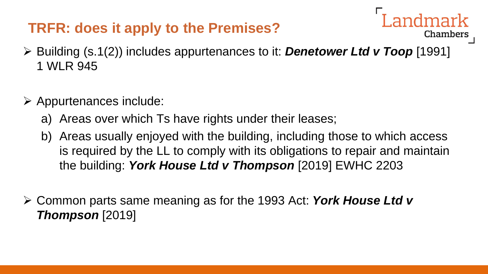#### **TRFR: does it apply to the Premises?**

➢ Building (s.1(2)) includes appurtenances to it: *Denetower Ltd v Toop* [1991] 1 WLR 945

- $\triangleright$  Appurtenances include:
	- a) Areas over which Ts have rights under their leases;
	- b) Areas usually enjoyed with the building, including those to which access is required by the LL to comply with its obligations to repair and maintain the building: *York House Ltd v Thompson* [2019] EWHC 2203
- ➢ Common parts same meaning as for the 1993 Act: *York House Ltd v Thompson* [2019]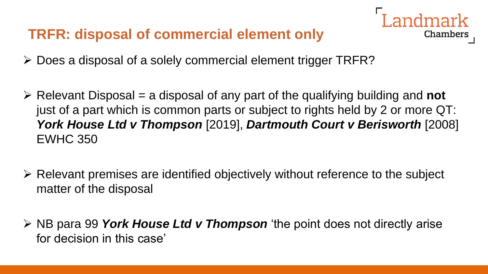#### **TRFR: disposal of commercial element only**



- ➢ Does a disposal of a solely commercial element trigger TRFR?
- ➢ Relevant Disposal = a disposal of any part of the qualifying building and **not**  just of a part which is common parts or subject to rights held by 2 or more QT: *York House Ltd v Thompson* [2019], *Dartmouth Court v Berisworth* [2008] EWHC 350
- ➢ Relevant premises are identified objectively without reference to the subject matter of the disposal
- ➢ NB para 99 *York House Ltd v Thompson* 'the point does not directly arise for decision in this case'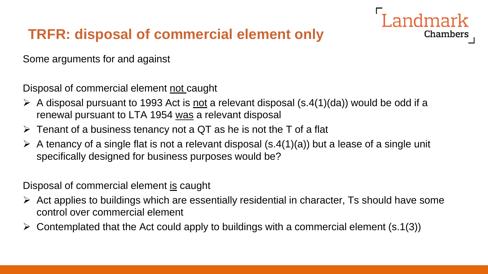#### **TRFR: disposal of commercial element only**

Some arguments for and against

Disposal of commercial element not caught

 $\triangleright$  A disposal pursuant to 1993 Act is <u>not</u> a relevant disposal (s.4(1)(da)) would be odd if a renewal pursuant to LTA 1954 was a relevant disposal

Landmark

**Chambers** 

- $\triangleright$  Tenant of a business tenancy not a QT as he is not the T of a flat
- $\triangleright$  A tenancy of a single flat is not a relevant disposal (s.4(1)(a)) but a lease of a single unit specifically designed for business purposes would be?

Disposal of commercial element is caught

- $\triangleright$  Act applies to buildings which are essentially residential in character, Ts should have some control over commercial element
- $\triangleright$  Contemplated that the Act could apply to buildings with a commercial element (s.1(3))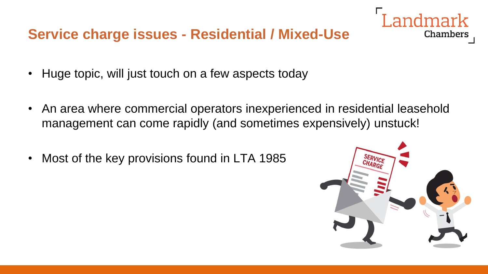- Huge topic, will just touch on a few aspects today
- An area where commercial operators inexperienced in residential leasehold management can come rapidly (and sometimes expensively) unstuck!
- Most of the key provisions found in LTA 1985

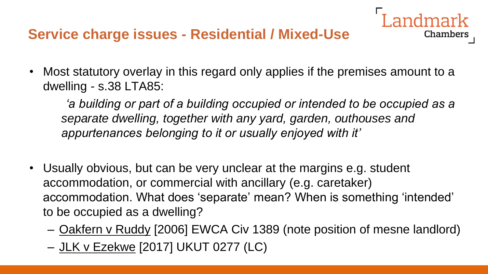• Most statutory overlay in this regard only applies if the premises amount to a dwelling - s.38 LTA85:

*'a building or part of a building occupied or intended to be occupied as a separate dwelling, together with any yard, garden, outhouses and appurtenances belonging to it or usually enjoyed with it'*

- Usually obvious, but can be very unclear at the margins e.g. student accommodation, or commercial with ancillary (e.g. caretaker) accommodation. What does 'separate' mean? When is something 'intended' to be occupied as a dwelling?
	- Oakfern v Ruddy [2006] EWCA Civ 1389 (note position of mesne landlord)
	- JLK v Ezekwe [2017] UKUT 0277 (LC)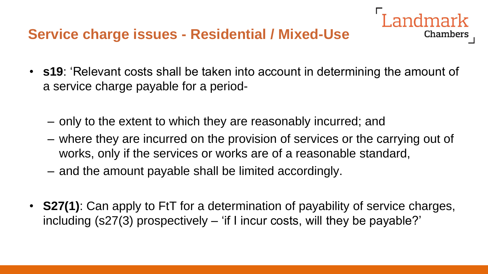• **s19**: 'Relevant costs shall be taken into account in determining the amount of a service charge payable for a period-

- only to the extent to which they are reasonably incurred; and
- where they are incurred on the provision of services or the carrying out of works, only if the services or works are of a reasonable standard,
- and the amount payable shall be limited accordingly.
- **S27(1)**: Can apply to FtT for a determination of payability of service charges, including (s27(3) prospectively – 'if I incur costs, will they be payable?'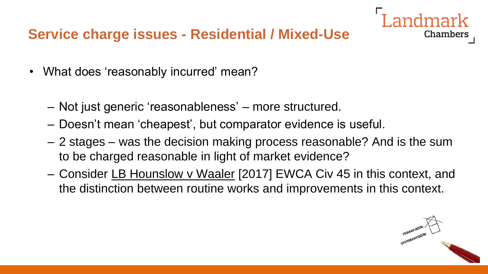- What does 'reasonably incurred' mean?
	- Not just generic 'reasonableness' more structured.
	- Doesn't mean 'cheapest', but comparator evidence is useful.
	- 2 stages was the decision making process reasonable? And is the sum to be charged reasonable in light of market evidence?
	- Consider LB Hounslow v Waaler [2017] EWCA Civ 45 in this context, and the distinction between routine works and improvements in this context.

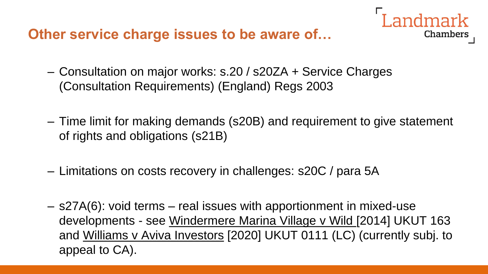**Other service charge issues to be aware of…**

- Landmark Chambers
- Consultation on major works: s.20 / s20ZA + Service Charges (Consultation Requirements) (England) Regs 2003
- Time limit for making demands (s20B) and requirement to give statement of rights and obligations (s21B)
- Limitations on costs recovery in challenges: s20C / para 5A
- s27A(6): void terms real issues with apportionment in mixed-use developments - see Windermere Marina Village v Wild [2014] UKUT 163 and Williams v Aviva Investors [2020] UKUT 0111 (LC) (currently subj. to appeal to CA).